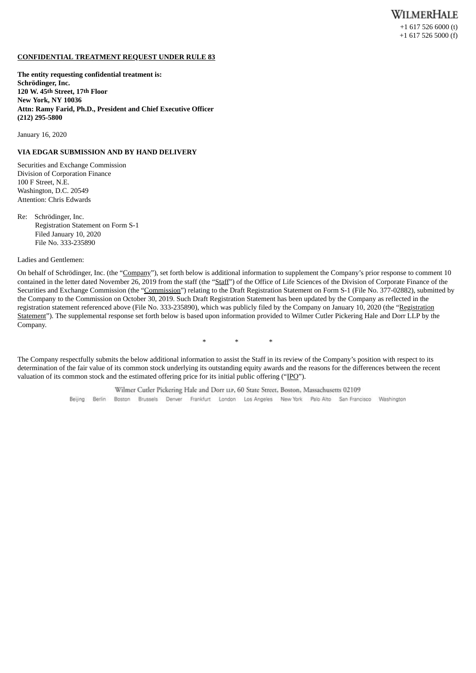## **CONFIDENTIAL TREATMENT REQUEST UNDER RULE 83**

**The entity requesting confidential treatment is: Schrödinger, Inc. 120 W. 45th Street, 17th Floor New York, NY 10036 Attn: Ramy Farid, Ph.D., President and Chief Executive Officer (212) 295-5800**

January 16, 2020

# **VIA EDGAR SUBMISSION AND BY HAND DELIVERY**

Securities and Exchange Commission Division of Corporation Finance 100 F Street, N.E. Washington, D.C. 20549 Attention: Chris Edwards

Re: Schrödinger, Inc. Registration Statement on Form S-1 Filed January 10, 2020 File No. 333-235890

Ladies and Gentlemen:

On behalf of Schrödinger, Inc. (the "Company"), set forth below is additional information to supplement the Company's prior response to comment 10 contained in the letter dated November 26, 2019 from the staff (the "Staff") of the Office of Life Sciences of the Division of Corporate Finance of the Securities and Exchange Commission (the "Commission") relating to the Draft Registration Statement on Form S-1 (File No. 377-02882), submitted by the Company to the Commission on October 30, 2019. Such Draft Registration Statement has been updated by the Company as reflected in the registration statement referenced above (File No. 333-235890), which was publicly filed by the Company on January 10, 2020 (the "Registration Statement"). The supplemental response set forth below is based upon information provided to Wilmer Cutler Pickering Hale and Dorr LLP by the Company.

\* \* \*

The Company respectfully submits the below additional information to assist the Staff in its review of the Company's position with respect to its determination of the fair value of its common stock underlying its outstanding equity awards and the reasons for the differences between the recent valuation of its common stock and the estimated offering price for its initial public offering ("IPO").

> Wilmer Cutler Pickering Hale and Dorr LLP, 60 State Street, Boston, Massachusetts 02109 Beijing Berlin Boston Brussels Denver Frankfurt London Los Angeles New York Palo Alto San-Francisco Washington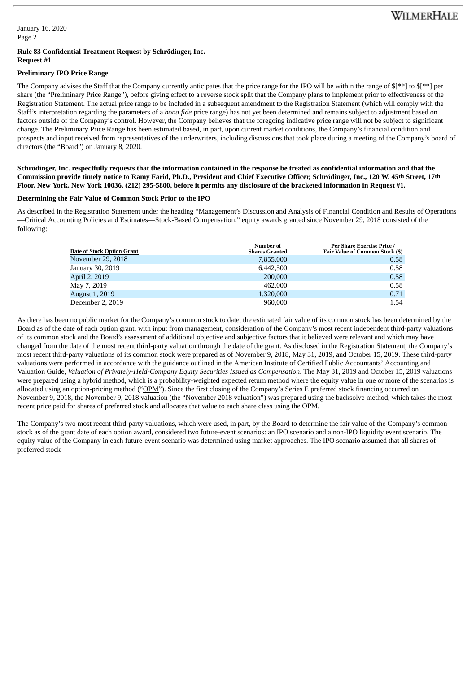January 16, 2020 Page 2

#### **Rule 83 Confidential Treatment Request by Schrödinger, Inc. Request #1**

## **Preliminary IPO Price Range**

The Company advises the Staff that the Company currently anticipates that the price range for the IPO will be within the range of \$[\*\*] to \$[\*\*] per share (the "Preliminary Price Range"), before giving effect to a reverse stock split that the Company plans to implement prior to effectiveness of the Registration Statement. The actual price range to be included in a subsequent amendment to the Registration Statement (which will comply with the Staff's interpretation regarding the parameters of a *bona fide* price range) has not yet been determined and remains subject to adjustment based on factors outside of the Company's control. However, the Company believes that the foregoing indicative price range will not be subject to significant change. The Preliminary Price Range has been estimated based, in part, upon current market conditions, the Company's financial condition and prospects and input received from representatives of the underwriters, including discussions that took place during a meeting of the Company's board of directors (the "Board") on January 8, 2020.

Schrödinger, Inc. respectfully requests that the information contained in the response be treated as confidential information and that the Commission provide timely notice to Ramy Farid, Ph.D., President and Chief Executive Officer, Schrödinger, Inc., 120 W. 45th Street, 17th Floor, New York, New York 10036, (212) 295-5800, before it permits any disclosure of the bracketed information in Request #1.

# **Determining the Fair Value of Common Stock Prior to the IPO**

As described in the Registration Statement under the heading "Management's Discussion and Analysis of Financial Condition and Results of Operations —Critical Accounting Policies and Estimates—Stock-Based Compensation," equity awards granted since November 29, 2018 consisted of the following:

| <b>Date of Stock Option Grant</b> | Number of<br><b>Shares Granted</b> | Per Share Exercise Price /<br><b>Fair Value of Common Stock (\$)</b> |
|-----------------------------------|------------------------------------|----------------------------------------------------------------------|
| November 29, 2018                 | 7,855,000                          | 0.58                                                                 |
| January 30, 2019                  | 6,442,500                          | 0.58                                                                 |
| April 2, 2019                     | 200,000                            | 0.58                                                                 |
| May 7, 2019                       | 462,000                            | 0.58                                                                 |
| August 1, 2019                    | 1,320,000                          | 0.71                                                                 |
| December 2, 2019                  | 960,000                            | 1.54                                                                 |

As there has been no public market for the Company's common stock to date, the estimated fair value of its common stock has been determined by the Board as of the date of each option grant, with input from management, consideration of the Company's most recent independent third-party valuations of its common stock and the Board's assessment of additional objective and subjective factors that it believed were relevant and which may have changed from the date of the most recent third-party valuation through the date of the grant. As disclosed in the Registration Statement, the Company's most recent third-party valuations of its common stock were prepared as of November 9, 2018, May 31, 2019, and October 15, 2019. These third-party valuations were performed in accordance with the guidance outlined in the American Institute of Certified Public Accountants' Accounting and Valuation Guide, *Valuation of Privately-Held-Company Equity Securities Issued as Compensation*. The May 31, 2019 and October 15, 2019 valuations were prepared using a hybrid method, which is a probability-weighted expected return method where the equity value in one or more of the scenarios is allocated using an option-pricing method ("OPM"). Since the first closing of the Company's Series E preferred stock financing occurred on November 9, 2018, the November 9, 2018 valuation (the "November 2018 valuation") was prepared using the backsolve method, which takes the most recent price paid for shares of preferred stock and allocates that value to each share class using the OPM.

The Company's two most recent third-party valuations, which were used, in part, by the Board to determine the fair value of the Company's common stock as of the grant date of each option award, considered two future-event scenarios: an IPO scenario and a non-IPO liquidity event scenario. The equity value of the Company in each future-event scenario was determined using market approaches. The IPO scenario assumed that all shares of preferred stock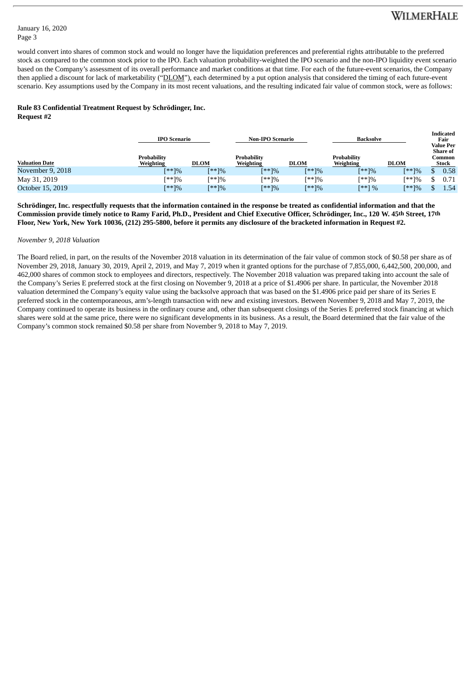# WILMERHALE

**Indicated**

## January 16, 2020 Page 3

would convert into shares of common stock and would no longer have the liquidation preferences and preferential rights attributable to the preferred stock as compared to the common stock prior to the IPO. Each valuation probability-weighted the IPO scenario and the non-IPO liquidity event scenario based on the Company's assessment of its overall performance and market conditions at that time. For each of the future-event scenarios, the Company then applied a discount for lack of marketability ("DLOM"), each determined by a put option analysis that considered the timing of each future-event scenario. Key assumptions used by the Company in its most recent valuations, and the resulting indicated fair value of common stock, were as follows:

# **Rule 83 Confidential Treatment Request by Schrödinger, Inc.**

**Request #2**

|                       |                                 | <b>IPO Scenario</b> |                                 | <b>Non-IPO Scenario</b> |                                 | <b>Backsolve</b> |                                    | morcated<br>Fair<br><b>Value Per</b> |  |
|-----------------------|---------------------------------|---------------------|---------------------------------|-------------------------|---------------------------------|------------------|------------------------------------|--------------------------------------|--|
| <b>Valuation Date</b> | <b>Probability</b><br>Weighting | <b>DLOM</b>         | <b>Probability</b><br>Weighting | <b>DLOM</b>             | <b>Probability</b><br>Weighting | <b>DLOM</b>      | <b>Share of</b><br>Common<br>Stock |                                      |  |
| November 9, 2018      | $[**]%$                         | [**]%               | [**]%                           | $[**]%$                 | $[**]%$                         | $[**]%$          |                                    | 0.58                                 |  |
| May 31, 2019          | $x^*$ /%                        | [**]%               | $x^*$ /%                        | [**]%                   | $[**]%$                         | $[**]%$          |                                    | $_{0.71}$                            |  |
| October 15, 2019      | $[**]%$                         | $[**]%$             | $[**]%$                         | $[**]%$                 | $[**]$ %                        | $[**]%$          |                                    | 1.54                                 |  |

Schrödinger, Inc. respectfully requests that the information contained in the response be treated as confidential information and that the Commission provide timely notice to Ramy Farid, Ph.D., President and Chief Executive Officer, Schrödinger, Inc., 120 W. 45th Street, 17th Floor, New York, New York 10036, (212) 295-5800, before it permits any disclosure of the bracketed information in Request #2.

# *November 9, 2018 Valuation*

The Board relied, in part, on the results of the November 2018 valuation in its determination of the fair value of common stock of \$0.58 per share as of November 29, 2018, January 30, 2019, April 2, 2019, and May 7, 2019 when it granted options for the purchase of 7,855,000, 6,442,500, 200,000, and 462,000 shares of common stock to employees and directors, respectively. The November 2018 valuation was prepared taking into account the sale of the Company's Series E preferred stock at the first closing on November 9, 2018 at a price of \$1.4906 per share. In particular, the November 2018 valuation determined the Company's equity value using the backsolve approach that was based on the \$1.4906 price paid per share of its Series E preferred stock in the contemporaneous, arm's-length transaction with new and existing investors. Between November 9, 2018 and May 7, 2019, the Company continued to operate its business in the ordinary course and, other than subsequent closings of the Series E preferred stock financing at which shares were sold at the same price, there were no significant developments in its business. As a result, the Board determined that the fair value of the Company's common stock remained \$0.58 per share from November 9, 2018 to May 7, 2019.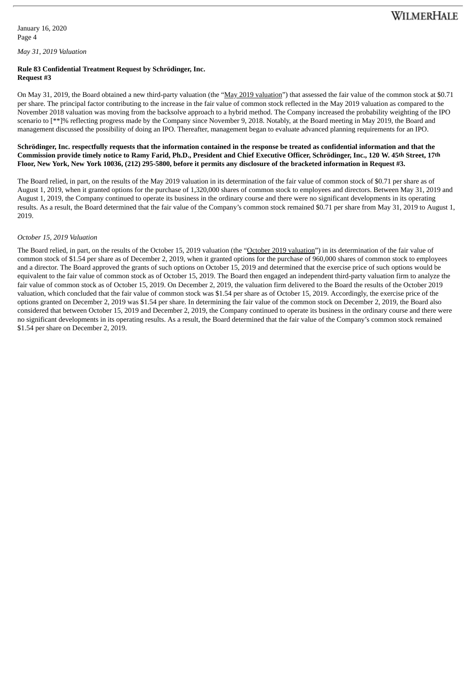#### **Rule 83 Confidential Treatment Request by Schrödinger, Inc. Request #3**

On May 31, 2019, the Board obtained a new third-party valuation (the "May 2019 valuation") that assessed the fair value of the common stock at \$0.71 per share. The principal factor contributing to the increase in the fair value of common stock reflected in the May 2019 valuation as compared to the November 2018 valuation was moving from the backsolve approach to a hybrid method. The Company increased the probability weighting of the IPO scenario to [\*\*]% reflecting progress made by the Company since November 9, 2018. Notably, at the Board meeting in May 2019, the Board and management discussed the possibility of doing an IPO. Thereafter, management began to evaluate advanced planning requirements for an IPO.

## Schrödinger, Inc. respectfully requests that the information contained in the response be treated as confidential information and that the Commission provide timely notice to Ramy Farid, Ph.D., President and Chief Executive Officer, Schrödinger, Inc., 120 W. 45th Street, 17th Floor, New York, New York 10036, (212) 295-5800, before it permits any disclosure of the bracketed information in Request #3.

The Board relied, in part, on the results of the May 2019 valuation in its determination of the fair value of common stock of \$0.71 per share as of August 1, 2019, when it granted options for the purchase of 1,320,000 shares of common stock to employees and directors. Between May 31, 2019 and August 1, 2019, the Company continued to operate its business in the ordinary course and there were no significant developments in its operating results. As a result, the Board determined that the fair value of the Company's common stock remained \$0.71 per share from May 31, 2019 to August 1, 2019.

## *October 15, 2019 Valuation*

The Board relied, in part, on the results of the October 15, 2019 valuation (the "October 2019 valuation") in its determination of the fair value of common stock of \$1.54 per share as of December 2, 2019, when it granted options for the purchase of 960,000 shares of common stock to employees and a director. The Board approved the grants of such options on October 15, 2019 and determined that the exercise price of such options would be equivalent to the fair value of common stock as of October 15, 2019. The Board then engaged an independent third-party valuation firm to analyze the fair value of common stock as of October 15, 2019. On December 2, 2019, the valuation firm delivered to the Board the results of the October 2019 valuation, which concluded that the fair value of common stock was \$1.54 per share as of October 15, 2019. Accordingly, the exercise price of the options granted on December 2, 2019 was \$1.54 per share. In determining the fair value of the common stock on December 2, 2019, the Board also considered that between October 15, 2019 and December 2, 2019, the Company continued to operate its business in the ordinary course and there were no significant developments in its operating results. As a result, the Board determined that the fair value of the Company's common stock remained \$1.54 per share on December 2, 2019.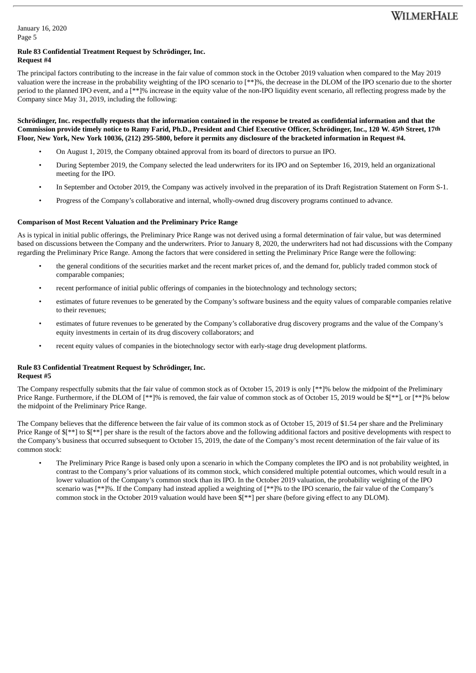January 16, 2020 Page 5

#### **Rule 83 Confidential Treatment Request by Schrödinger, Inc. Request #4**

The principal factors contributing to the increase in the fair value of common stock in the October 2019 valuation when compared to the May 2019 valuation were the increase in the probability weighting of the IPO scenario to [\*\*]%, the decrease in the DLOM of the IPO scenario due to the shorter period to the planned IPO event, and a [\*\*]% increase in the equity value of the non-IPO liquidity event scenario, all reflecting progress made by the Company since May 31, 2019, including the following:

## Schrödinger, Inc. respectfully requests that the information contained in the response be treated as confidential information and that the Commission provide timely notice to Ramy Farid, Ph.D., President and Chief Executive Officer, Schrödinger, Inc., 120 W. 45th Street, 17th Floor, New York, New York 10036, (212) 295-5800, before it permits any disclosure of the bracketed information in Request #4.

- On August 1, 2019, the Company obtained approval from its board of directors to pursue an IPO.
- During September 2019, the Company selected the lead underwriters for its IPO and on September 16, 2019, held an organizational meeting for the IPO.
- In September and October 2019, the Company was actively involved in the preparation of its Draft Registration Statement on Form S-1.
- Progress of the Company's collaborative and internal, wholly-owned drug discovery programs continued to advance.

# **Comparison of Most Recent Valuation and the Preliminary Price Range**

As is typical in initial public offerings, the Preliminary Price Range was not derived using a formal determination of fair value, but was determined based on discussions between the Company and the underwriters. Prior to January 8, 2020, the underwriters had not had discussions with the Company regarding the Preliminary Price Range. Among the factors that were considered in setting the Preliminary Price Range were the following:

- the general conditions of the securities market and the recent market prices of, and the demand for, publicly traded common stock of comparable companies;
- recent performance of initial public offerings of companies in the biotechnology and technology sectors;
- estimates of future revenues to be generated by the Company's software business and the equity values of comparable companies relative to their revenues;
- estimates of future revenues to be generated by the Company's collaborative drug discovery programs and the value of the Company's equity investments in certain of its drug discovery collaborators; and
- recent equity values of companies in the biotechnology sector with early-stage drug development platforms.

## **Rule 83 Confidential Treatment Request by Schrödinger, Inc. Request #5**

The Company respectfully submits that the fair value of common stock as of October 15, 2019 is only [\*\*]% below the midpoint of the Preliminary Price Range. Furthermore, if the DLOM of [\*\*]% is removed, the fair value of common stock as of October 15, 2019 would be \$[\*\*], or [\*\*]% below the midpoint of the Preliminary Price Range.

The Company believes that the difference between the fair value of its common stock as of October 15, 2019 of \$1.54 per share and the Preliminary Price Range of  $f^{**}$  to  $f^{**}$ ] per share is the result of the factors above and the following additional factors and positive developments with respect to the Company's business that occurred subsequent to October 15, 2019, the date of the Company's most recent determination of the fair value of its common stock:

• The Preliminary Price Range is based only upon a scenario in which the Company completes the IPO and is not probability weighted, in contrast to the Company's prior valuations of its common stock, which considered multiple potential outcomes, which would result in a lower valuation of the Company's common stock than its IPO. In the October 2019 valuation, the probability weighting of the IPO scenario was [\*\*]%. If the Company had instead applied a weighting of [\*\*]% to the IPO scenario, the fair value of the Company's common stock in the October 2019 valuation would have been \$[\*\*] per share (before giving effect to any DLOM).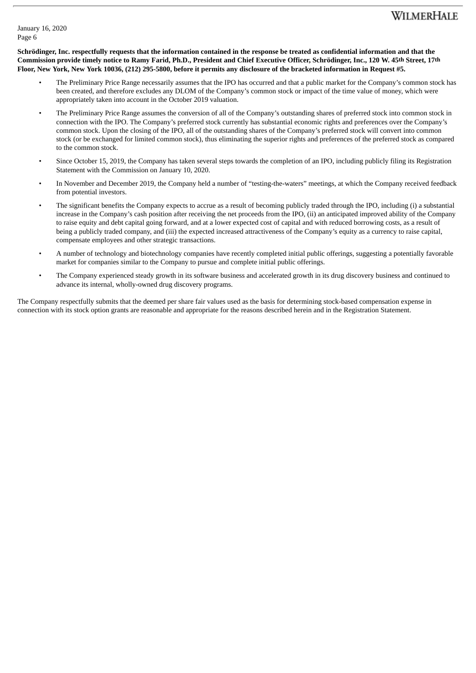# WILMERHALE

Schrödinger, Inc. respectfully requests that the information contained in the response be treated as confidential information and that the Commission provide timely notice to Ramy Farid, Ph.D., President and Chief Executive Officer, Schrödinger, Inc., 120 W. 45th Street, 17th Floor, New York, New York 10036, (212) 295-5800, before it permits any disclosure of the bracketed information in Request #5.

- The Preliminary Price Range necessarily assumes that the IPO has occurred and that a public market for the Company's common stock has been created, and therefore excludes any DLOM of the Company's common stock or impact of the time value of money, which were appropriately taken into account in the October 2019 valuation.
- The Preliminary Price Range assumes the conversion of all of the Company's outstanding shares of preferred stock into common stock in connection with the IPO. The Company's preferred stock currently has substantial economic rights and preferences over the Company's common stock. Upon the closing of the IPO, all of the outstanding shares of the Company's preferred stock will convert into common stock (or be exchanged for limited common stock), thus eliminating the superior rights and preferences of the preferred stock as compared to the common stock.
- Since October 15, 2019, the Company has taken several steps towards the completion of an IPO, including publicly filing its Registration Statement with the Commission on January 10, 2020.
- In November and December 2019, the Company held a number of "testing-the-waters" meetings, at which the Company received feedback from potential investors.
- The significant benefits the Company expects to accrue as a result of becoming publicly traded through the IPO, including (i) a substantial increase in the Company's cash position after receiving the net proceeds from the IPO, (ii) an anticipated improved ability of the Company to raise equity and debt capital going forward, and at a lower expected cost of capital and with reduced borrowing costs, as a result of being a publicly traded company, and (iii) the expected increased attractiveness of the Company's equity as a currency to raise capital, compensate employees and other strategic transactions.
- A number of technology and biotechnology companies have recently completed initial public offerings, suggesting a potentially favorable market for companies similar to the Company to pursue and complete initial public offerings.
- The Company experienced steady growth in its software business and accelerated growth in its drug discovery business and continued to advance its internal, wholly-owned drug discovery programs.

The Company respectfully submits that the deemed per share fair values used as the basis for determining stock-based compensation expense in connection with its stock option grants are reasonable and appropriate for the reasons described herein and in the Registration Statement.